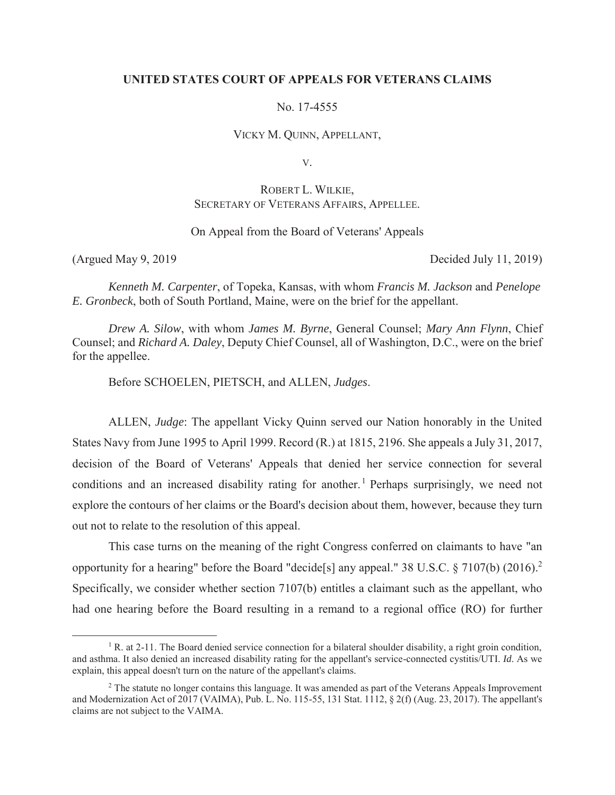### **UNITED STATES COURT OF APPEALS FOR VETERANS CLAIMS**

No. 17-4555

VICKY M. QUINN, APPELLANT,

V.

# ROBERT L. WILKIE, SECRETARY OF VETERANS AFFAIRS, APPELLEE.

## On Appeal from the Board of Veterans' Appeals

(Argued May 9, 2019 Decided July 11, 2019)

*Kenneth M. Carpenter*, of Topeka, Kansas, with whom *Francis M. Jackson* and *Penelope E. Gronbeck*, both of South Portland, Maine, were on the brief for the appellant.

*Drew A. Silow*, with whom *James M. Byrne*, General Counsel; *Mary Ann Flynn*, Chief Counsel; and *Richard A. Daley*, Deputy Chief Counsel, all of Washington, D.C., were on the brief for the appellee.

Before SCHOELEN, PIETSCH, and ALLEN, *Judges*.

ALLEN, *Judge*: The appellant Vicky Quinn served our Nation honorably in the United States Navy from June 1995 to April 1999. Record (R.) at 1815, 2196. She appeals a July 31, 2017, decision of the Board of Veterans' Appeals that denied her service connection for several conditions and an increased disability rating for another.<sup>1</sup> Perhaps surprisingly, we need not explore the contours of her claims or the Board's decision about them, however, because they turn out not to relate to the resolution of this appeal.

This case turns on the meaning of the right Congress conferred on claimants to have "an opportunity for a hearing" before the Board "decide[s] any appeal." 38 U.S.C. § 7107(b) (2016).2 Specifically, we consider whether section 7107(b) entitles a claimant such as the appellant, who had one hearing before the Board resulting in a remand to a regional office (RO) for further

<sup>&</sup>lt;u>1</u> <sup>1</sup> R. at 2-11. The Board denied service connection for a bilateral shoulder disability, a right groin condition, and asthma. It also denied an increased disability rating for the appellant's service-connected cystitis/UTI. *Id*. As we explain, this appeal doesn't turn on the nature of the appellant's claims.

<sup>&</sup>lt;sup>2</sup> The statute no longer contains this language. It was amended as part of the Veterans Appeals Improvement and Modernization Act of 2017 (VAIMA), Pub. L. No. 115-55, 131 Stat. 1112, § 2(f) (Aug. 23, 2017). The appellant's claims are not subject to the VAIMA.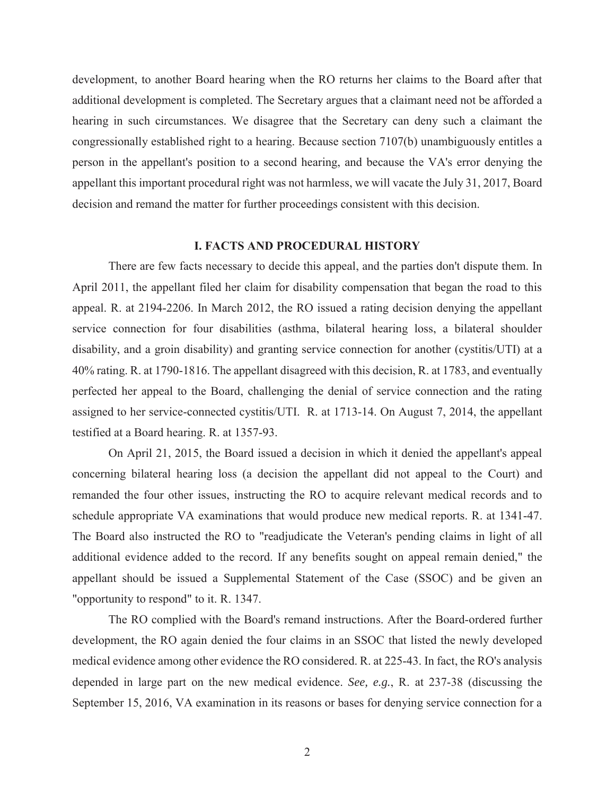development, to another Board hearing when the RO returns her claims to the Board after that additional development is completed. The Secretary argues that a claimant need not be afforded a hearing in such circumstances. We disagree that the Secretary can deny such a claimant the congressionally established right to a hearing. Because section 7107(b) unambiguously entitles a person in the appellant's position to a second hearing, and because the VA's error denying the appellant this important procedural right was not harmless, we will vacate the July 31, 2017, Board decision and remand the matter for further proceedings consistent with this decision.

#### **I. FACTS AND PROCEDURAL HISTORY**

There are few facts necessary to decide this appeal, and the parties don't dispute them. In April 2011, the appellant filed her claim for disability compensation that began the road to this appeal. R. at 2194-2206. In March 2012, the RO issued a rating decision denying the appellant service connection for four disabilities (asthma, bilateral hearing loss, a bilateral shoulder disability, and a groin disability) and granting service connection for another (cystitis/UTI) at a 40% rating. R. at 1790-1816. The appellant disagreed with this decision, R. at 1783, and eventually perfected her appeal to the Board, challenging the denial of service connection and the rating assigned to her service-connected cystitis/UTI. R. at 1713-14. On August 7, 2014, the appellant testified at a Board hearing. R. at 1357-93.

On April 21, 2015, the Board issued a decision in which it denied the appellant's appeal concerning bilateral hearing loss (a decision the appellant did not appeal to the Court) and remanded the four other issues, instructing the RO to acquire relevant medical records and to schedule appropriate VA examinations that would produce new medical reports. R. at 1341-47. The Board also instructed the RO to "readjudicate the Veteran's pending claims in light of all additional evidence added to the record. If any benefits sought on appeal remain denied," the appellant should be issued a Supplemental Statement of the Case (SSOC) and be given an "opportunity to respond" to it. R. 1347.

The RO complied with the Board's remand instructions. After the Board-ordered further development, the RO again denied the four claims in an SSOC that listed the newly developed medical evidence among other evidence the RO considered. R. at 225-43. In fact, the RO's analysis depended in large part on the new medical evidence. *See, e.g.*, R. at 237-38 (discussing the September 15, 2016, VA examination in its reasons or bases for denying service connection for a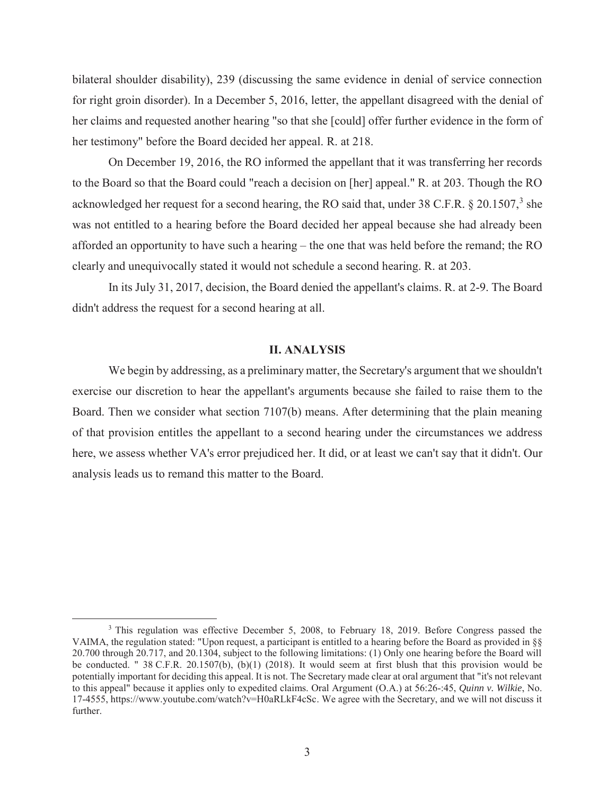bilateral shoulder disability), 239 (discussing the same evidence in denial of service connection for right groin disorder). In a December 5, 2016, letter, the appellant disagreed with the denial of her claims and requested another hearing "so that she [could] offer further evidence in the form of her testimony" before the Board decided her appeal. R. at 218.

On December 19, 2016, the RO informed the appellant that it was transferring her records to the Board so that the Board could "reach a decision on [her] appeal." R. at 203. Though the RO acknowledged her request for a second hearing, the RO said that, under 38 C.F.R.  $\S 20.1507$ ,  $\overline{\phantom{a}}$  she was not entitled to a hearing before the Board decided her appeal because she had already been afforded an opportunity to have such a hearing – the one that was held before the remand; the RO clearly and unequivocally stated it would not schedule a second hearing. R. at 203.

In its July 31, 2017, decision, the Board denied the appellant's claims. R. at 2-9. The Board didn't address the request for a second hearing at all.

# **II. ANALYSIS**

We begin by addressing, as a preliminary matter, the Secretary's argument that we shouldn't exercise our discretion to hear the appellant's arguments because she failed to raise them to the Board. Then we consider what section 7107(b) means. After determining that the plain meaning of that provision entitles the appellant to a second hearing under the circumstances we address here, we assess whether VA's error prejudiced her. It did, or at least we can't say that it didn't. Our analysis leads us to remand this matter to the Board.

<sup>&</sup>lt;sup>3</sup> This regulation was effective December 5, 2008, to February 18, 2019. Before Congress passed the VAIMA, the regulation stated: "Upon request, a participant is entitled to a hearing before the Board as provided in §§ 20.700 through 20.717, and 20.1304, subject to the following limitations: (1) Only one hearing before the Board will be conducted. " 38 C.F.R. 20.1507(b), (b)(1) (2018). It would seem at first blush that this provision would be potentially important for deciding this appeal. It is not. The Secretary made clear at oral argument that "it's not relevant to this appeal" because it applies only to expedited claims. Oral Argument (O.A.) at 56:26-:45, *Quinn v. Wilkie*, No. 17-4555, https://www.youtube.com/watch?v=H0aRLkF4cSc. We agree with the Secretary, and we will not discuss it further.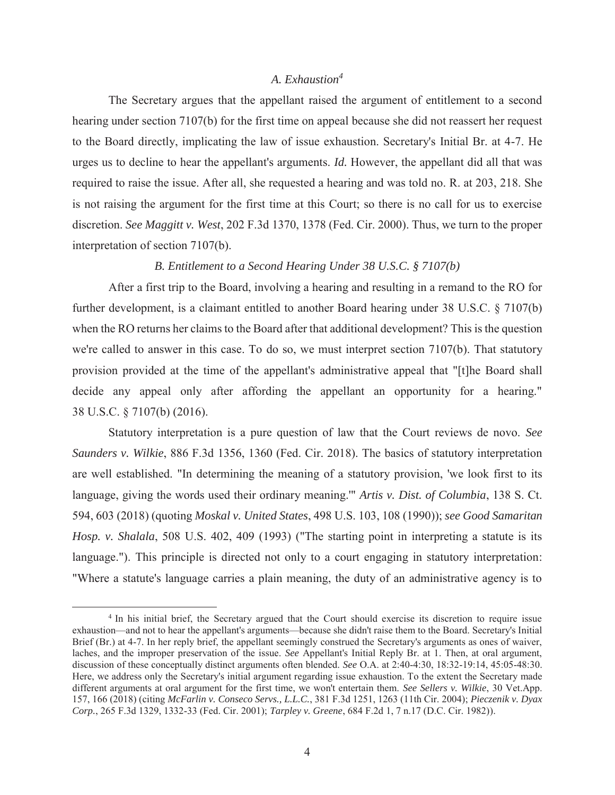# *A. Exhaustion<sup>4</sup>*

The Secretary argues that the appellant raised the argument of entitlement to a second hearing under section 7107(b) for the first time on appeal because she did not reassert her request to the Board directly, implicating the law of issue exhaustion. Secretary's Initial Br. at 4-7. He urges us to decline to hear the appellant's arguments. *Id.* However, the appellant did all that was required to raise the issue. After all, she requested a hearing and was told no. R. at 203, 218. She is not raising the argument for the first time at this Court; so there is no call for us to exercise discretion. *See Maggitt v. West*, 202 F.3d 1370, 1378 (Fed. Cir. 2000). Thus, we turn to the proper interpretation of section 7107(b).

#### *B. Entitlement to a Second Hearing Under 38 U.S.C. § 7107(b)*

After a first trip to the Board, involving a hearing and resulting in a remand to the RO for further development, is a claimant entitled to another Board hearing under 38 U.S.C. § 7107(b) when the RO returns her claims to the Board after that additional development? This is the question we're called to answer in this case. To do so, we must interpret section 7107(b). That statutory provision provided at the time of the appellant's administrative appeal that "[t]he Board shall decide any appeal only after affording the appellant an opportunity for a hearing." 38 U.S.C. § 7107(b) (2016).

Statutory interpretation is a pure question of law that the Court reviews de novo. *See Saunders v. Wilkie*, 886 F.3d 1356, 1360 (Fed. Cir. 2018). The basics of statutory interpretation are well established. "In determining the meaning of a statutory provision, 'we look first to its language, giving the words used their ordinary meaning.'" *Artis v. Dist. of Columbia*, 138 S. Ct. 594, 603 (2018) (quoting *Moskal v. United States*, 498 U.S. 103, 108 (1990)); *see Good Samaritan Hosp. v. Shalala*, 508 U.S. 402, 409 (1993) ("The starting point in interpreting a statute is its language."). This principle is directed not only to a court engaging in statutory interpretation: "Where a statute's language carries a plain meaning, the duty of an administrative agency is to

<sup>&</sup>lt;sup>4</sup> In his initial brief, the Secretary argued that the Court should exercise its discretion to require issue exhaustion—and not to hear the appellant's arguments—because she didn't raise them to the Board. Secretary's Initial Brief (Br.) at 4-7. In her reply brief, the appellant seemingly construed the Secretary's arguments as ones of waiver, laches, and the improper preservation of the issue. *See* Appellant's Initial Reply Br. at 1. Then, at oral argument, discussion of these conceptually distinct arguments often blended. *See* O.A. at 2:40-4:30, 18:32-19:14, 45:05-48:30. Here, we address only the Secretary's initial argument regarding issue exhaustion. To the extent the Secretary made different arguments at oral argument for the first time, we won't entertain them. *See Sellers v. Wilkie*, 30 Vet.App. 157, 166 (2018) (citing *McFarlin v. Conseco Servs., L.L.C.*, 381 F.3d 1251, 1263 (11th Cir. 2004); *Pieczenik v. Dyax Corp.*, 265 F.3d 1329, 1332-33 (Fed. Cir. 2001); *Tarpley v. Greene*, 684 F.2d 1, 7 n.17 (D.C. Cir. 1982)).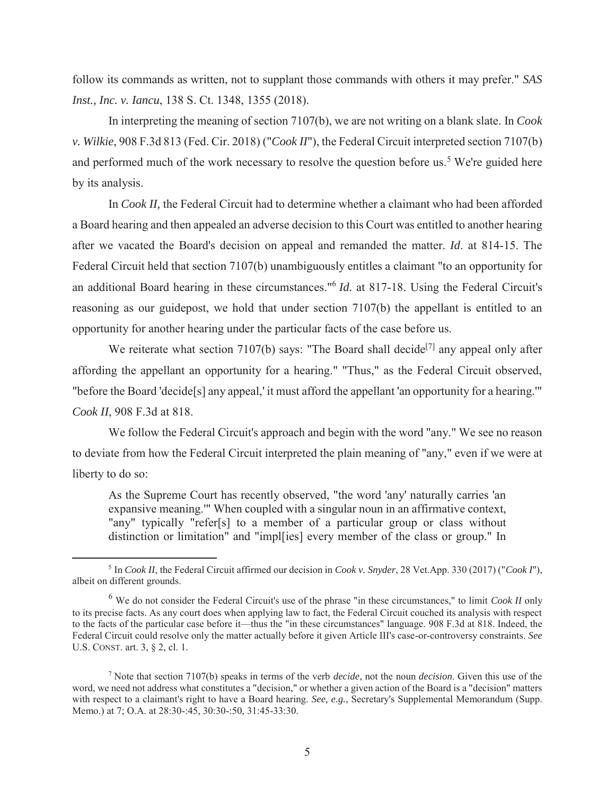follow its commands as written, not to supplant those commands with others it may prefer." *SAS Inst., Inc. v. Iancu*, 138 S. Ct. 1348, 1355 (2018).

In interpreting the meaning of section 7107(b), we are not writing on a blank slate. In *Cook v. Wilkie*, 908 F.3d 813 (Fed. Cir. 2018) ("*Cook II*"), the Federal Circuit interpreted section 7107(b) and performed much of the work necessary to resolve the question before us.<sup>5</sup> We're guided here by its analysis.

In *Cook II,* the Federal Circuit had to determine whether a claimant who had been afforded a Board hearing and then appealed an adverse decision to this Court was entitled to another hearing after we vacated the Board's decision on appeal and remanded the matter. *Id*. at 814-15. The Federal Circuit held that section 7107(b) unambiguously entitles a claimant "to an opportunity for an additional Board hearing in these circumstances."6 *Id.* at 817-18. Using the Federal Circuit's reasoning as our guidepost, we hold that under section 7107(b) the appellant is entitled to an opportunity for another hearing under the particular facts of the case before us.

We reiterate what section 7107(b) says: "The Board shall decide<sup>[7]</sup> any appeal only after affording the appellant an opportunity for a hearing." "Thus," as the Federal Circuit observed, "before the Board 'decide[s] any appeal,' it must afford the appellant 'an opportunity for a hearing.'" *Cook II*, 908 F.3d at 818.

We follow the Federal Circuit's approach and begin with the word "any." We see no reason to deviate from how the Federal Circuit interpreted the plain meaning of "any," even if we were at liberty to do so:

As the Supreme Court has recently observed, "the word 'any' naturally carries 'an expansive meaning.'" When coupled with a singular noun in an affirmative context, "any" typically "refer[s] to a member of a particular group or class without distinction or limitation" and "impl[ies] every member of the class or group." In

 $rac{1}{5}$  In *Cook II*, the Federal Circuit affirmed our decision in *Cook v. Snyder*, 28 Vet.App. 330 (2017) ("*Cook I*"), albeit on different grounds.

<sup>6</sup> We do not consider the Federal Circuit's use of the phrase "in these circumstances," to limit *Cook II* only to its precise facts. As any court does when applying law to fact, the Federal Circuit couched its analysis with respect to the facts of the particular case before it—thus the "in these circumstances" language. 908 F.3d at 818. Indeed, the Federal Circuit could resolve only the matter actually before it given Article III's case-or-controversy constraints. *See*  U.S. CONST. art. 3, § 2, cl. 1.

<sup>7</sup> Note that section 7107(b) speaks in terms of the verb *decide*, not the noun *decision*. Given this use of the word, we need not address what constitutes a "decision," or whether a given action of the Board is a "decision" matters with respect to a claimant's right to have a Board hearing. *See, e.g.*, Secretary's Supplemental Memorandum (Supp. Memo.) at 7; O.A. at 28:30-:45, 30:30-:50, 31:45-33:30.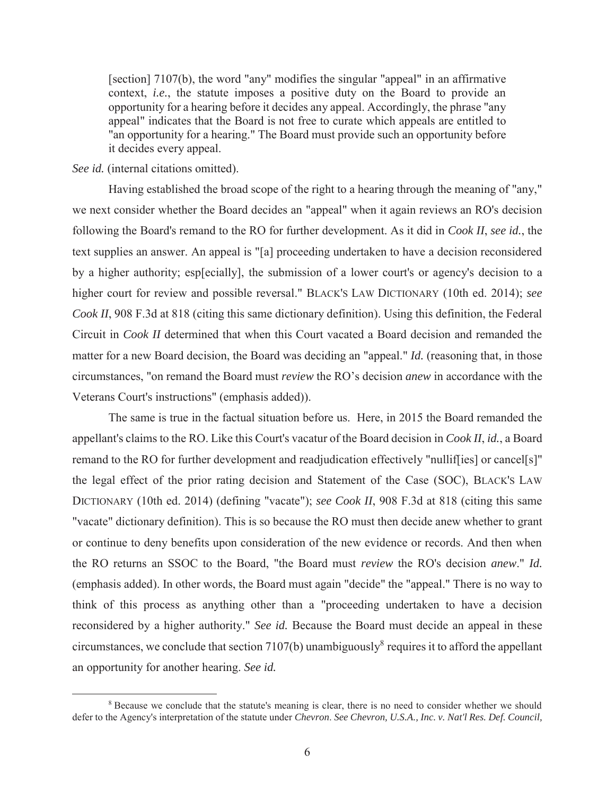[section] 7107(b), the word "any" modifies the singular "appeal" in an affirmative context, *i.e.*, the statute imposes a positive duty on the Board to provide an opportunity for a hearing before it decides any appeal. Accordingly, the phrase "any appeal" indicates that the Board is not free to curate which appeals are entitled to "an opportunity for a hearing." The Board must provide such an opportunity before it decides every appeal.

## *See id.* (internal citations omitted).

Having established the broad scope of the right to a hearing through the meaning of "any," we next consider whether the Board decides an "appeal" when it again reviews an RO's decision following the Board's remand to the RO for further development. As it did in *Cook II*, *see id.*, the text supplies an answer. An appeal is "[a] proceeding undertaken to have a decision reconsidered by a higher authority; esp[ecially], the submission of a lower court's or agency's decision to a higher court for review and possible reversal." BLACK'S LAW DICTIONARY (10th ed. 2014); *see Cook II*, 908 F.3d at 818 (citing this same dictionary definition). Using this definition, the Federal Circuit in *Cook II* determined that when this Court vacated a Board decision and remanded the matter for a new Board decision, the Board was deciding an "appeal." *Id.* (reasoning that, in those circumstances, "on remand the Board must *review* the RO's decision *anew* in accordance with the Veterans Court's instructions" (emphasis added)).

The same is true in the factual situation before us. Here, in 2015 the Board remanded the appellant's claims to the RO. Like this Court's vacatur of the Board decision in *Cook II*, *id.*, a Board remand to the RO for further development and readjudication effectively "nulliffies] or cancel[s]" the legal effect of the prior rating decision and Statement of the Case (SOC), BLACK'S LAW DICTIONARY (10th ed. 2014) (defining "vacate"); *see Cook II*, 908 F.3d at 818 (citing this same "vacate" dictionary definition). This is so because the RO must then decide anew whether to grant or continue to deny benefits upon consideration of the new evidence or records. And then when the RO returns an SSOC to the Board, "the Board must *review* the RO's decision *anew*." *Id.* (emphasis added). In other words, the Board must again "decide" the "appeal." There is no way to think of this process as anything other than a "proceeding undertaken to have a decision reconsidered by a higher authority." *See id.* Because the Board must decide an appeal in these circumstances, we conclude that section 7107(b) unambiguously<sup>8</sup> requires it to afford the appellant an opportunity for another hearing. *See id.*

 <sup>8</sup> <sup>8</sup> Because we conclude that the statute's meaning is clear, there is no need to consider whether we should defer to the Agency's interpretation of the statute under *Chevron*. *See Chevron, U.S.A., Inc. v. Nat'l Res. Def. Council,*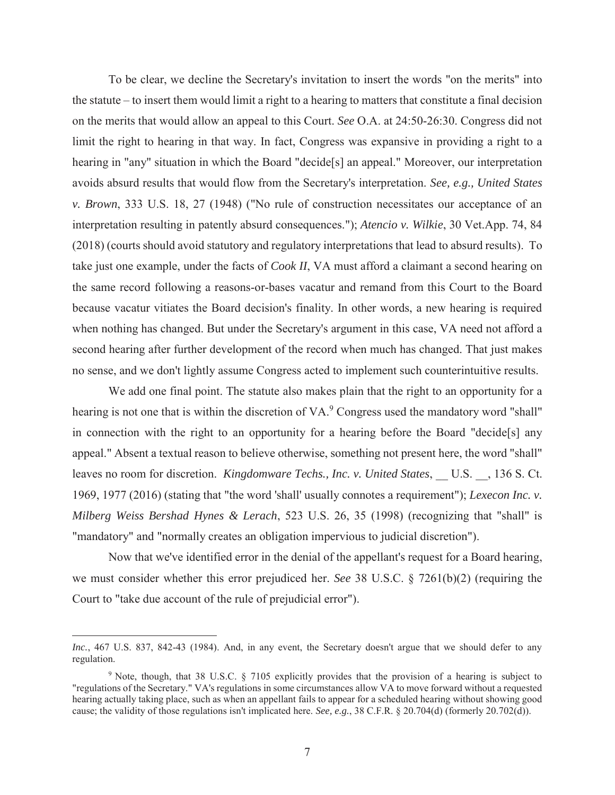To be clear, we decline the Secretary's invitation to insert the words "on the merits" into the statute – to insert them would limit a right to a hearing to matters that constitute a final decision on the merits that would allow an appeal to this Court. *See* O.A. at 24:50-26:30. Congress did not limit the right to hearing in that way. In fact, Congress was expansive in providing a right to a hearing in "any" situation in which the Board "decide<sup>[s]</sup> an appeal." Moreover, our interpretation avoids absurd results that would flow from the Secretary's interpretation. *See, e.g., United States v. Brown*, 333 U.S. 18, 27 (1948) ("No rule of construction necessitates our acceptance of an interpretation resulting in patently absurd consequences."); *Atencio v. Wilkie*, 30 Vet.App. 74, 84 (2018) (courts should avoid statutory and regulatory interpretations that lead to absurd results). To take just one example, under the facts of *Cook II*, VA must afford a claimant a second hearing on the same record following a reasons-or-bases vacatur and remand from this Court to the Board because vacatur vitiates the Board decision's finality. In other words, a new hearing is required when nothing has changed. But under the Secretary's argument in this case, VA need not afford a second hearing after further development of the record when much has changed. That just makes no sense, and we don't lightly assume Congress acted to implement such counterintuitive results.

We add one final point. The statute also makes plain that the right to an opportunity for a hearing is not one that is within the discretion of  $VA$ . Congress used the mandatory word "shall" in connection with the right to an opportunity for a hearing before the Board "decide[s] any appeal." Absent a textual reason to believe otherwise, something not present here, the word "shall" leaves no room for discretion. *Kingdomware Techs., Inc. v. United States*, \_\_ U.S. \_\_, 136 S. Ct. 1969, 1977 (2016) (stating that "the word 'shall' usually connotes a requirement"); *Lexecon Inc. v. Milberg Weiss Bershad Hynes & Lerach*, 523 U.S. 26, 35 (1998) (recognizing that "shall" is "mandatory" and "normally creates an obligation impervious to judicial discretion").

Now that we've identified error in the denial of the appellant's request for a Board hearing, we must consider whether this error prejudiced her. *See* 38 U.S.C. § 7261(b)(2) (requiring the Court to "take due account of the rule of prejudicial error").

 $\overline{a}$ 

*Inc.*, 467 U.S. 837, 842-43 (1984). And, in any event, the Secretary doesn't argue that we should defer to any regulation.

<sup>&</sup>lt;sup>9</sup> Note, though, that 38 U.S.C. § 7105 explicitly provides that the provision of a hearing is subject to "regulations of the Secretary." VA's regulations in some circumstances allow VA to move forward without a requested hearing actually taking place, such as when an appellant fails to appear for a scheduled hearing without showing good cause; the validity of those regulations isn't implicated here. *See, e.g.*, 38 C.F.R. § 20.704(d) (formerly 20.702(d)).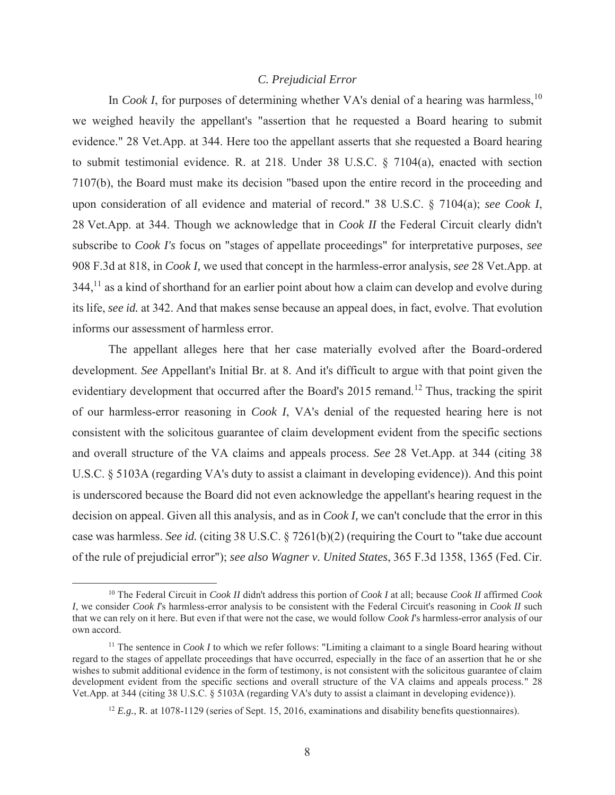## *C. Prejudicial Error*

In *Cook I*, for purposes of determining whether VA's denial of a hearing was harmless,  $10$ we weighed heavily the appellant's "assertion that he requested a Board hearing to submit evidence." 28 Vet.App. at 344. Here too the appellant asserts that she requested a Board hearing to submit testimonial evidence. R. at 218. Under 38 U.S.C. § 7104(a), enacted with section 7107(b), the Board must make its decision "based upon the entire record in the proceeding and upon consideration of all evidence and material of record." 38 U.S.C. § 7104(a); *see Cook I*, 28 Vet.App. at 344. Though we acknowledge that in *Cook II* the Federal Circuit clearly didn't subscribe to *Cook I's* focus on "stages of appellate proceedings" for interpretative purposes, *see*  908 F.3d at 818, in *Cook I,* we used that concept in the harmless-error analysis, *see* 28 Vet.App. at  $344$ ,<sup>11</sup> as a kind of shorthand for an earlier point about how a claim can develop and evolve during its life, *see id.* at 342. And that makes sense because an appeal does, in fact, evolve. That evolution informs our assessment of harmless error.

The appellant alleges here that her case materially evolved after the Board-ordered development. *See* Appellant's Initial Br. at 8. And it's difficult to argue with that point given the evidentiary development that occurred after the Board's 2015 remand.<sup>12</sup> Thus, tracking the spirit of our harmless-error reasoning in *Cook I*, VA's denial of the requested hearing here is not consistent with the solicitous guarantee of claim development evident from the specific sections and overall structure of the VA claims and appeals process. *See* 28 Vet.App. at 344 (citing 38 U.S.C. § 5103A (regarding VA's duty to assist a claimant in developing evidence)). And this point is underscored because the Board did not even acknowledge the appellant's hearing request in the decision on appeal. Given all this analysis, and as in *Cook I,* we can't conclude that the error in this case was harmless. *See id.* (citing 38 U.S.C. § 7261(b)(2) (requiring the Court to "take due account of the rule of prejudicial error"); *see also Wagner v. United States*, 365 F.3d 1358, 1365 (Fed. Cir.

 <sup>10</sup> The Federal Circuit in *Cook II* didn't address this portion of *Cook I* at all; because *Cook II* affirmed *Cook I*, we consider *Cook I*'s harmless-error analysis to be consistent with the Federal Circuit's reasoning in *Cook II* such that we can rely on it here. But even if that were not the case, we would follow *Cook I*'s harmless-error analysis of our own accord.

<sup>&</sup>lt;sup>11</sup> The sentence in *Cook I* to which we refer follows: "Limiting a claimant to a single Board hearing without regard to the stages of appellate proceedings that have occurred, especially in the face of an assertion that he or she wishes to submit additional evidence in the form of testimony, is not consistent with the solicitous guarantee of claim development evident from the specific sections and overall structure of the VA claims and appeals process." 28 Vet.App. at 344 (citing 38 U.S.C. § 5103A (regarding VA's duty to assist a claimant in developing evidence)).

<sup>&</sup>lt;sup>12</sup> *E.g.*, R. at 1078-1129 (series of Sept. 15, 2016, examinations and disability benefits questionnaires).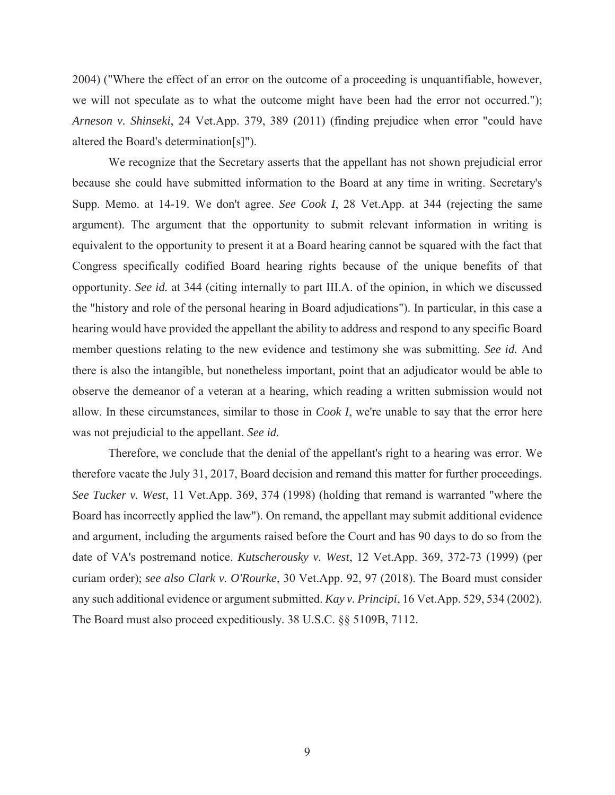2004) ("Where the effect of an error on the outcome of a proceeding is unquantifiable, however, we will not speculate as to what the outcome might have been had the error not occurred."); *Arneson v. Shinseki*, 24 Vet.App. 379, 389 (2011) (finding prejudice when error "could have altered the Board's determination[s]").

We recognize that the Secretary asserts that the appellant has not shown prejudicial error because she could have submitted information to the Board at any time in writing. Secretary's Supp. Memo. at 14-19. We don't agree. *See Cook I*, 28 Vet.App. at 344 (rejecting the same argument). The argument that the opportunity to submit relevant information in writing is equivalent to the opportunity to present it at a Board hearing cannot be squared with the fact that Congress specifically codified Board hearing rights because of the unique benefits of that opportunity. *See id.* at 344 (citing internally to part III.A. of the opinion, in which we discussed the "history and role of the personal hearing in Board adjudications"). In particular, in this case a hearing would have provided the appellant the ability to address and respond to any specific Board member questions relating to the new evidence and testimony she was submitting. *See id.* And there is also the intangible, but nonetheless important, point that an adjudicator would be able to observe the demeanor of a veteran at a hearing, which reading a written submission would not allow. In these circumstances, similar to those in *Cook I*, we're unable to say that the error here was not prejudicial to the appellant. *See id.* 

Therefore, we conclude that the denial of the appellant's right to a hearing was error. We therefore vacate the July 31, 2017, Board decision and remand this matter for further proceedings. *See Tucker v. West*, 11 Vet.App. 369, 374 (1998) (holding that remand is warranted "where the Board has incorrectly applied the law"). On remand, the appellant may submit additional evidence and argument, including the arguments raised before the Court and has 90 days to do so from the date of VA's postremand notice. *Kutscherousky v. West*, 12 Vet.App. 369, 372-73 (1999) (per curiam order); *see also Clark v. O'Rourke*, 30 Vet.App. 92, 97 (2018). The Board must consider any such additional evidence or argument submitted. *Kay v. Principi*, 16 Vet.App. 529, 534 (2002). The Board must also proceed expeditiously. 38 U.S.C. §§ 5109B, 7112.